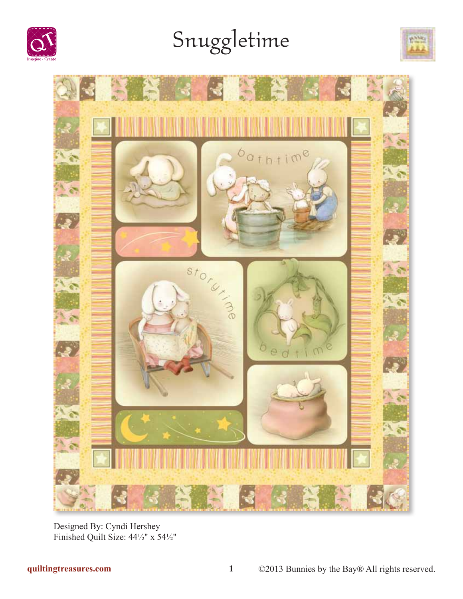

# Snuggletime





Designed By: Cyndi Hershey Finished Quilt Size: 44½" x 54½"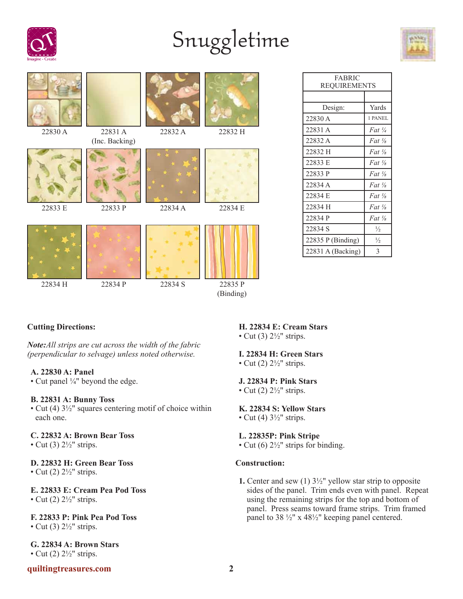

# Snuggletime





| FABRIC<br><b>REQUIREMENTS</b> |                   |  |  |  |
|-------------------------------|-------------------|--|--|--|
|                               |                   |  |  |  |
| Design:                       | Yards             |  |  |  |
| 22830 A                       | 1 PANEL           |  |  |  |
| 22831 A                       | Fat $\frac{1}{4}$ |  |  |  |
| 22832 A                       | Fat $\frac{1}{8}$ |  |  |  |
| 22832 H                       | Fat $\frac{1}{8}$ |  |  |  |
| 22833 E                       | Fat $\frac{1}{8}$ |  |  |  |
| 22833 P                       | Fat $\frac{1}{8}$ |  |  |  |
| 22834 A                       | Fat $\frac{1}{8}$ |  |  |  |
| 22834 E                       | $Fat \frac{1}{8}$ |  |  |  |
| 22834 H                       | Fat $\frac{1}{8}$ |  |  |  |
| 22834 P                       | $Fat \frac{1}{8}$ |  |  |  |
| 22834 S                       | $\frac{1}{2}$     |  |  |  |
| $22835$ P (Binding)           | $\frac{1}{2}$     |  |  |  |
| $22831$ A (Backing)           | 3                 |  |  |  |

# **Cutting Directions:**

*Note:All strips are cut across the width of the fabric (perpendicular to selvage) unless noted otherwise.*

## **A. 22830 A: Panel**

• Cut panel ¼" beyond the edge.

## **B. 22831 A: Bunny Toss**

• Cut (4) 3½" squares centering motif of choice within each one.

## **C. 22832 A: Brown Bear Toss**

• Cut  $(3)$   $2\frac{1}{2}$ " strips.

# **D. 22832 H: Green Bear Toss**

• Cut  $(2)$   $2\frac{1}{2}$ " strips.

## **E. 22833 E: Cream Pea Pod Toss** • Cut  $(2)$   $2\frac{1}{2}$ " strips.

# **F. 22833 P: Pink Pea Pod Toss**

• Cut (3)  $2\frac{1}{2}$ " strips.

**G. 22834 A: Brown Stars** • Cut  $(2)$   $2\frac{1}{2}$ " strips.

# **quiltingtreasures.com 2**

# **H. 22834 E: Cream Stars**

• Cut  $(3)$   $2\frac{1}{2}$ " strips.

# **I. 22834 H: Green Stars**

• Cut  $(2)$   $2\frac{1}{2}$ " strips.

## **J. 22834 P: Pink Stars**

• Cut  $(2)$   $2\frac{1}{2}$ " strips.

## **K. 22834 S: Yellow Stars**

• Cut (4)  $3\frac{1}{2}$ " strips.

## **L. 22835P: Pink Stripe**

• Cut (6)  $2\frac{1}{2}$ " strips for binding.

## **Construction:**

**1.** Center and sew (1) 3½" yellow star strip to opposite sides of the panel. Trim ends even with panel. Repeat using the remaining strips for the top and bottom of panel. Press seams toward frame strips. Trim framed panel to 38 ½" x 48½" keeping panel centered.